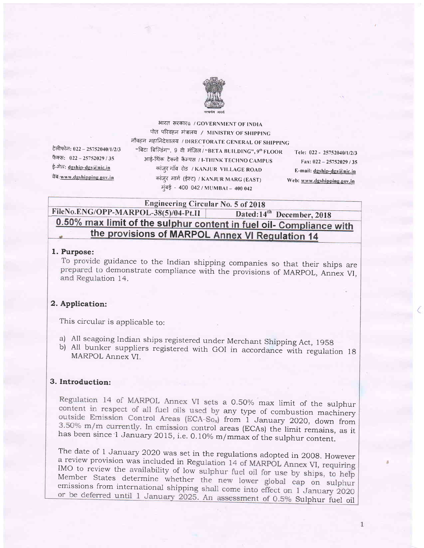

टेलीफोन: 022 - 25752040/1/2/3 फैक्स: 022 - 25752029 / 35 ई-मेल: dgship-dgs@nic.in वेब: www.dgshipping.gov.in

भारत सरकारü / GOVERNMENT OF INDIA पोत परिवहन मंत्रालय / MINISTRY OF SHIPPING नौवहन महानिदेशालय / DIRECTORATE GENERAL OF SHIPPING "बिटा बिल्डिंग", 9 वी मंजिल / "BETA BUILDING", 9<sup>th</sup> FLOOR आई-थिंक टेक्नो कैम्पस / I-THINK TECHNO CAMPUS कांज़्र गाँव रोड / KANJUR VILLAGE ROAD कांजुर मार्ग (ईस्ट) / KANJUR MARG (EAST) मुंबई - 400 042 / MUMBAI - 400 042

Tele: 022 - 25752040/1/2/3 Fax: 022 - 25752029 / 35 E-mail: dgship-dgs@nic.in Web: www.dgshipping.gov.in

**Engineering Circular No. 5 of 2018** FileNo.ENG/OPP-MARPOL-38(5)/04-Pt.II Dated:14<sup>th</sup> December, 2018 0.50% max limit of the sulphur content in fuel oil- Compliance with the provisions of MARPOL Annex VI Regulation 14

# 1. Purpose:

To provide guidance to the Indian shipping companies so that their ships are prepared to demonstrate compliance with the provisions of MARPOL, Annex VI, and Regulation 14.

# 2. Application:

This circular is applicable to:

- a) All seagoing Indian ships registered under Merchant Shipping Act, 1958
- b) All bunker suppliers registered with GOI in accordance with regulation 18 MARPOL Annex VI.

# 3. Introduction:

Regulation 14 of MARPOL Annex VI sets a 0.50% max limit of the sulphur content in respect of all fuel oils used by any type of combustion machinery outside Emission Control Areas (ECA-So<sub>x</sub>) from 1 January 2020, down from 3.50% m/m currently. In emission control areas (ECAs) the limit remains, as it has been since 1 January 2015, i.e. 0.10% m/mmax of the sulphur content.

The date of 1 January 2020 was set in the regulations adopted in 2008. However a review provision was included in Regulation 14 of MARPOL Annex VI, requiring IMO to review the availability of low sulphur fuel oil for use by ships, to help Member States determine whether the new lower global cap on sulphur emissions from international shipping shall come into effect on 1 January 2020 or be deferred until 1 January 2025. An assessment of 0.5% Sulphur fuel oil

 $\mathbf{1}$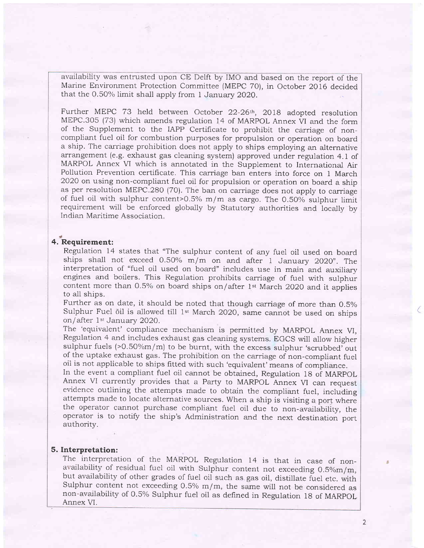availability was entrusted upon CE Delft by IMO and based on the report of the Marine Environment Protection Committee (MEPC 70), in October 2016 decided that the 0.50% limit shall apply from 1 January 2020.

Further MEPC 73 held between October 22-26<sup>th</sup>, 2018 adopted resolution MEPC.305 (73) which amends regulation 14 of MARPOL Annex VI and the form of the Supplement to the IAPP Certificate to prohibit the carriage of noncompliant fuel oil for combustion purposes for propulsion or operation on board a ship. The carriage prohibition does not apply to ships employing an alternative arrangement (e.g. exhaust gas cleaning system) approved under regulation 4.1 of MARPOL Annex VI which is annotated in the Supplement to International Air Pollution Prevention certificate. This carriage ban enters into force on 1 March 2O2O on using non-compliant fuel oil for propulsion or operation on board a ship as per resolution MEPC.280 (70). The ban on carriage does not apply to carriage of fuel oil with sulphur content>0.5%  $m/m$  as cargo. The 0.50% sulphur limit requirement will be enforced globally by Statutory authorities and locally by Indian Maritime Association.

# 4. Requirement

Regulation 14 states that "The sulphur content of any fuel oil used on board ships shall not exceed 0.50% m/m on and after 1 January 2020". The interpretation of "fuel oil used on board" includes use in main and auxiliary engines and boilers. This Regulation prohibits carriage of fuel with sulphur content more than 0.5% on board ships on/after 1st March 2020 and it applies to all ships.

Further as on date, it should be noted that though carriage of more than 0.5% Sulphur Fuel oil is allowed till 1<sup>st</sup> March 2020, same cannot be used on ships on/after 1<sup>st</sup> January 2020.

The 'equivalent' compliance mechanism is permitted by MARPOL Annex VI, Regulation 4 and includes exhaust gas cleaning systems. EGCS will allow higher sulphur fuels (>0.50%m/m) to be burnt, with the excess sulphur 'scrubbed' out of the uptake exhaust gas. The prohibition on the carriage of non-compliant fuel oil is not applicable to ships htted with such 'equivalent'means of compliance.

In the event a compliant fuel oil cannot be obtained, Regulation 18 of MARpOL Annex VI currently provides that a Party to MARPOL Annex VI can request evidence outlining the attempts made to obtain the compliant fuel, including attempts made to locate alternative sources. When a ship is visiting a port where the operator cannot purchase compliant fuel oil due to non-availability, the operator is to notify the ship's Administration and the next destination port authority.

### 5. Interpretation:

The interpretation of the MARPOL Regulation 14 is that in case of non-<br>availability of residual fuel oil with Sulphur content not exceeding  $0.5\%$ m/m,<br>but availability of other grades of fuel oil such as gas oil, distill Annex VI.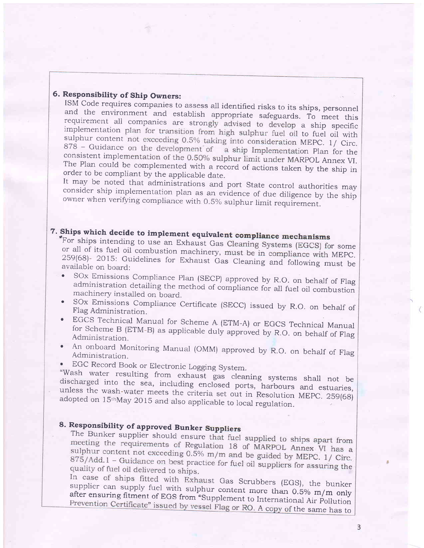6. Responsibility of Ship Owners:<br>ISM Code requires companies to assess all identified risks to its ships, personnel and the environment and establish appropriate safeguards. To meet this requirement all companies are strongly advised to develop a ship specific implementation plan for transition from high sulphur fuel oil to fuel oil wit sulphur content not exceeding 0.5% taking into consideration MEPC. 1/ Circ.  $878$  – Guidance on the development of a ship Implementation Plan for the consistent implementation of the 0.50% sulphur limit under MARPOL Annex VI. The Plan could be complemented with a record of actions taken by the ship in

order to be compliant by the applicable date.<br>It may be noted that administrations and port State control authorities may consider ship implementation plan as an evidence of due diligence by the ship owner when verifying c

7. Ships which decide to implement equivalent compliance mechanisms<br>For ships intending to use an Exhaust Gas Cleaning Systems (EGCS) for some tor ships intending to use an Exhaust Gas r some or all of its fuel oil combustion machinery, must be available on board:<br>
• SOx Emissions Compliance Plan (SECP) approved by R.O. on behalf of Flag

- administration detailing the method of compliance for all fuel oil combustion machinery installed on board.
- . SOx Emissions Compliance Certihcate (SECC) issued by R.O. on behalf of Flag Administration.
- EGCS Technical Manual for Scheme A (ETM-A) or EGCS Technical Manual EGCS Technical Manual for Scheme A (ETM-A) or EGCS Technical Manual<br>for Scheme B (ETM-B) as applicable duly approved by R.O. on behalf of Flag Administration
- An onboard Monitoring Manual (OMM) approved by R.O. on behalf of Flag<br>Administration Administration.
- 

. EGC Record Book or Electronic Logging System. "wash discharged "Wash water resulting from exhaust gas cleaning systems shall not be discharged into the sea, including enclosed ports, harbours and estuaries, unless the wash-water meets the criteria set out in Resolution MEPC. 259(68) a

# 8. Responsibility of approved Bunker

The Bunker supplier should ensure that fuel supplied to ships apart from meeting the requirements of Regulation 18 of MARPOL Annex VI has a sulphur content not exceeding 0.5% m/m and be guided by MEPC. 1/ Circ.  $875/$ Add.1 – Guidance on best practice for fuel oil suppliers for assuring the quality of fuel oil delivered to ships.

In case of ships fitted with Exhaust Gas Scrubbers (EGS), the bunker supplier can supply fuel with sulphur content more than 0.5% m/m only after ensuring fitment of EGS from "Supplement to International Air Pollution Prevention Certificate" issued by vessel Flag or RO. A copy of the same has to